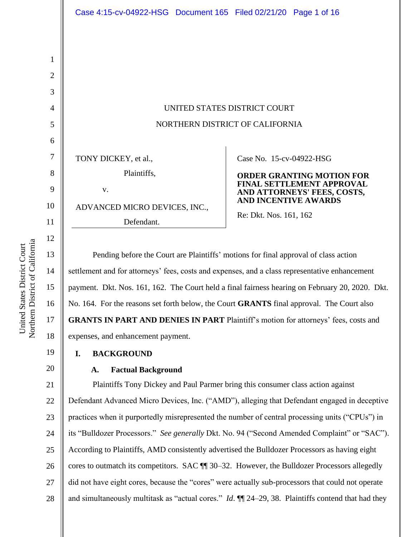United States District Court Northern District of California

Northern District of California United States District Court

18

19

20

1

|                               | UNITED STATES DISTRICT COURT                                                                   |
|-------------------------------|------------------------------------------------------------------------------------------------|
|                               | NORTHERN DISTRICT OF CALIFORNIA                                                                |
| TONY DICKEY, et al.,          | Case No. 15-cv-04922-HSG                                                                       |
| Plaintiffs,                   | <b>ORDER GRANTING MOTION FOR</b>                                                               |
| V.                            | <b>FINAL SETTLEMENT APPROVAL</b><br>AND ATTORNEYS' FEES, COSTS,<br><b>AND INCENTIVE AWARDS</b> |
| ADVANCED MICRO DEVICES, INC., |                                                                                                |
| Defendant.                    | Re: Dkt. Nos. 161, 162                                                                         |

Pending before the Court are Plaintiffs' motions for final approval of class action settlement and for attorneys' fees, costs and expenses, and a class representative enhancement payment. Dkt. Nos. 161, 162. The Court held a final fairness hearing on February 20, 2020. Dkt. No. 164. For the reasons set forth below, the Court **GRANTS** final approval. The Court also **GRANTS IN PART AND DENIES IN PART** Plaintiff's motion for attorneys' fees, costs and expenses, and enhancement payment.

**I. BACKGROUND**

#### **A. Factual Background**

21 22 23 24 25 26 27 28 Plaintiffs Tony Dickey and Paul Parmer bring this consumer class action against Defendant Advanced Micro Devices, Inc. ("AMD"), alleging that Defendant engaged in deceptive practices when it purportedly misrepresented the number of central processing units ("CPUs") in its "Bulldozer Processors." *See generally* Dkt. No. 94 ("Second Amended Complaint" or "SAC"). According to Plaintiffs, AMD consistently advertised the Bulldozer Processors as having eight cores to outmatch its competitors. SAC ¶¶ 30–32. However, the Bulldozer Processors allegedly did not have eight cores, because the "cores" were actually sub-processors that could not operate and simultaneously multitask as "actual cores." *Id*. ¶¶ 24–29, 38. Plaintiffs contend that had they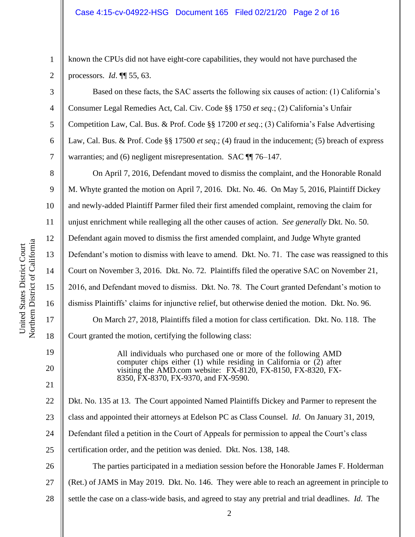1 2 known the CPUs did not have eight-core capabilities, they would not have purchased the processors. *Id*. ¶¶ 55, 63.

Based on these facts, the SAC asserts the following six causes of action: (1) California's Consumer Legal Remedies Act, Cal. Civ. Code §§ 1750 *et seq*.; (2) California's Unfair Competition Law, Cal. Bus. & Prof. Code §§ 17200 *et seq*.; (3) California's False Advertising Law, Cal. Bus. & Prof. Code §§ 17500 *et seq*.; (4) fraud in the inducement; (5) breach of express warranties; and (6) negligent misrepresentation. SAC  $\P$  76–147.

On April 7, 2016, Defendant moved to dismiss the complaint, and the Honorable Ronald M. Whyte granted the motion on April 7, 2016. Dkt. No. 46. On May 5, 2016, Plaintiff Dickey and newly-added Plaintiff Parmer filed their first amended complaint, removing the claim for unjust enrichment while realleging all the other causes of action. *See generally* Dkt. No. 50. Defendant again moved to dismiss the first amended complaint, and Judge Whyte granted Defendant's motion to dismiss with leave to amend. Dkt. No. 71. The case was reassigned to this Court on November 3, 2016. Dkt. No. 72. Plaintiffs filed the operative SAC on November 21, 2016, and Defendant moved to dismiss. Dkt. No. 78. The Court granted Defendant's motion to dismiss Plaintiffs' claims for injunctive relief, but otherwise denied the motion. Dkt. No. 96. On March 27, 2018, Plaintiffs filed a motion for class certification. Dkt. No. 118. The Court granted the motion, certifying the following class:

> All individuals who purchased one or more of the following AMD computer chips either  $(1)$  while residing in California or  $(2)$  after visiting the AMD.com website: FX-8120, FX-8150, FX-8320, FX-8350, FX-8370, FX-9370, and FX-9590.

22 23 24 25 26 Dkt. No. 135 at 13. The Court appointed Named Plaintiffs Dickey and Parmer to represent the class and appointed their attorneys at Edelson PC as Class Counsel. *Id*. On January 31, 2019, Defendant filed a petition in the Court of Appeals for permission to appeal the Court's class certification order, and the petition was denied. Dkt. Nos. 138, 148. The parties participated in a mediation session before the Honorable James F. Holderman

27 (Ret.) of JAMS in May 2019. Dkt. No. 146. They were able to reach an agreement in principle to

28 settle the case on a class-wide basis, and agreed to stay any pretrial and trial deadlines. *Id*. The

3

4

5

6

7

8

9

10

11

12

13

14

15

16

17

18

19

20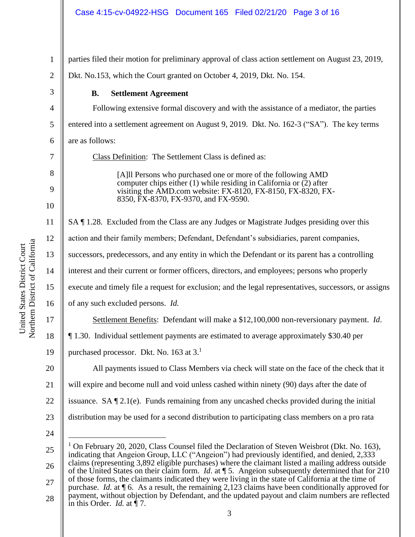| 1              | parties filed their motion for preliminary approval of class action settlement on August 23, 2019,                                                                                                                 |  |
|----------------|--------------------------------------------------------------------------------------------------------------------------------------------------------------------------------------------------------------------|--|
| $\overline{c}$ | Dkt. No.153, which the Court granted on October 4, 2019, Dkt. No. 154.                                                                                                                                             |  |
| 3              | <b>Settlement Agreement</b><br><b>B.</b>                                                                                                                                                                           |  |
| 4              | Following extensive formal discovery and with the assistance of a mediator, the parties                                                                                                                            |  |
| 5              | entered into a settlement agreement on August 9, 2019. Dkt. No. 162-3 ("SA"). The key terms                                                                                                                        |  |
| 6              | are as follows:                                                                                                                                                                                                    |  |
| 7              | Class Definition: The Settlement Class is defined as:                                                                                                                                                              |  |
| 8              | [A] Persons who purchased one or more of the following AMD                                                                                                                                                         |  |
| 9              | computer chips either $(1)$ while residing in California or $(2)$ after<br>visiting the AMD.com website: FX-8120, FX-8150, FX-8320, FX-<br>8350, FX-8370, FX-9370, and FX-9590.                                    |  |
| 10             |                                                                                                                                                                                                                    |  |
| 11             | SA ¶ 1.28. Excluded from the Class are any Judges or Magistrate Judges presiding over this                                                                                                                         |  |
| 12             | action and their family members; Defendant, Defendant's subsidiaries, parent companies,                                                                                                                            |  |
| 13             | successors, predecessors, and any entity in which the Defendant or its parent has a controlling                                                                                                                    |  |
| 14             | interest and their current or former officers, directors, and employees; persons who properly                                                                                                                      |  |
| 15             | execute and timely file a request for exclusion; and the legal representatives, successors, or assigns                                                                                                             |  |
| 16             | of any such excluded persons. Id.                                                                                                                                                                                  |  |
| 17             | Settlement Benefits: Defendant will make a \$12,100,000 non-reversionary payment. Id.                                                                                                                              |  |
| 18             | 1.30. Individual settlement payments are estimated to average approximately \$30.40 per                                                                                                                            |  |
| 19             | purchased processor. Dkt. No. 163 at 3. <sup>1</sup>                                                                                                                                                               |  |
| 20             | All payments issued to Class Members via check will state on the face of the check that it                                                                                                                         |  |
| 21             | will expire and become null and void unless cashed within ninety (90) days after the date of                                                                                                                       |  |
| 22             | issuance. SA $\P$ 2.1(e). Funds remaining from any uncashed checks provided during the initial                                                                                                                     |  |
| 23             | distribution may be used for a second distribution to participating class members on a pro rata                                                                                                                    |  |
| 24             |                                                                                                                                                                                                                    |  |
| 25             | <sup>1</sup> On February 20, 2020, Class Counsel filed the Declaration of Steven Weisbrot (Dkt. No. 163),<br>indicating that Angeion Group, LLC ("Angeion") had previously identified, and denied, 2,333           |  |
| 26             | claims (representing 3,892 eligible purchases) where the claimant listed a mailing address outside<br>of the United States on their claim form. <i>Id.</i> at $\P$ 5. Angeion subsequently determined that for 210 |  |
|                | of those forms, the claimants indicated they were living in the state of California at the time of                                                                                                                 |  |

27 28 of the United States on the United States on the time of  $210$ . And *States at the time* of of those forms, the claimants indicated they were living in the state of California at the time of purchase. *Id.* at ¶ 6. As a result, the remaining 2,123 claims have been conditionally approved for payment, without objection by Defendant, and the updated payout and claim numbers are reflected in this Order. *Id.* at  $\P$  7.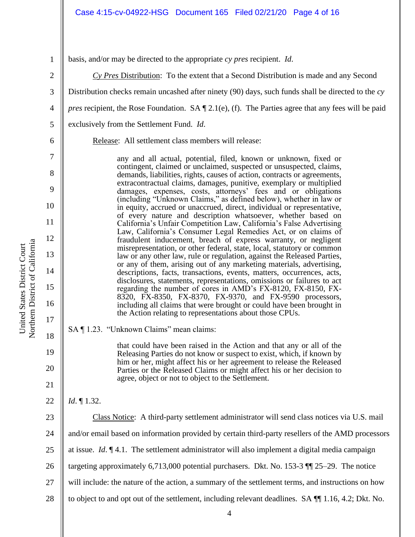3

4

5

basis, and/or may be directed to the appropriate *cy pres* recipient. *Id*.

*Cy Pres* Distribution: To the extent that a Second Distribution is made and any Second

Distribution checks remain uncashed after ninety (90) days, such funds shall be directed to the *cy* 

*pres* recipient, the Rose Foundation. SA  $\P$  2.1(e), (f). The Parties agree that any fees will be paid

exclusively from the Settlement Fund. *Id*.

6

7

8

9

10

11

12

13

14

15

16

17

18

19

20

21

22

Release: All settlement class members will release:

any and all actual, potential, filed, known or unknown, fixed or contingent, claimed or unclaimed, suspected or unsuspected, claims, demands, liabilities, rights, causes of action, contracts or agreements, extracontractual claims, damages, punitive, exemplary or multiplied damages, expenses, costs, attorneys' fees and or obligations (including "Unknown Claims," as defined below), whether in law or in equity, accrued or unaccrued, direct, individual or representative, of every nature and description whatsoever, whether based on California's Unfair Competition Law, California's False Advertising Law, California's Consumer Legal Remedies Act, or on claims of fraudulent inducement, breach of express warranty, or negligent misrepresentation, or other federal, state, local, statutory or common law or any other law, rule or regulation, against the Released Parties, or any of them, arising out of any marketing materials, advertising, descriptions, facts, transactions, events, matters, occurrences, acts, disclosures, statements, representations, omissions or failures to act regarding the number of cores in AMD's FX-8120, FX-8150, FX-8320, FX-8350, FX-8370, FX-9370, and FX-9590 processors, including all claims that were brought or could have been brought in the Action relating to representations about those CPUs.

SA ¶ 1.23. "Unknown Claims" mean claims:

that could have been raised in the Action and that any or all of the Releasing Parties do not know or suspect to exist, which, if known by him or her, might affect his or her agreement to release the Released Parties or the Released Claims or might affect his or her decision to agree, object or not to object to the Settlement.

*Id*. ¶ 1.32.

23 24 25 26 27 28 Class Notice: A third-party settlement administrator will send class notices via U.S. mail and/or email based on information provided by certain third-party resellers of the AMD processors at issue. *Id*. ¶ 4.1. The settlement administrator will also implement a digital media campaign targeting approximately 6,713,000 potential purchasers. Dkt. No. 153-3 ¶¶ 25–29. The notice will include: the nature of the action, a summary of the settlement terms, and instructions on how to object to and opt out of the settlement, including relevant deadlines. SA ¶¶ 1.16, 4.2; Dkt. No.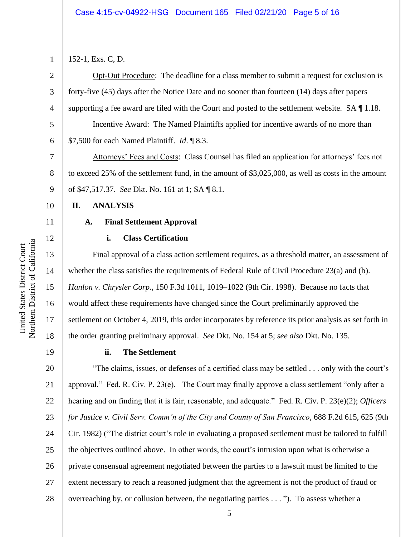3

4

5

6

7

8

9

10

11

12

13

14

15

16

17

18

152-1, Exs. C, D.

Opt-Out Procedure: The deadline for a class member to submit a request for exclusion is forty-five (45) days after the Notice Date and no sooner than fourteen (14) days after papers supporting a fee award are filed with the Court and posted to the settlement website. SA ¶ 1.18.

Incentive Award: The Named Plaintiffs applied for incentive awards of no more than \$7,500 for each Named Plaintiff. *Id*. ¶ 8.3.

Attorneys' Fees and Costs: Class Counsel has filed an application for attorneys' fees not to exceed 25% of the settlement fund, in the amount of \$3,025,000, as well as costs in the amount of \$47,517.37. *See* Dkt. No. 161 at 1; SA ¶ 8.1.

#### **II. ANALYSIS**

#### **A. Final Settlement Approval**

#### **i. Class Certification**

Final approval of a class action settlement requires, as a threshold matter, an assessment of whether the class satisfies the requirements of Federal Rule of Civil Procedure 23(a) and (b). *Hanlon v. Chrysler Corp.*, 150 F.3d 1011, 1019–1022 (9th Cir. 1998). Because no facts that would affect these requirements have changed since the Court preliminarily approved the settlement on October 4, 2019, this order incorporates by reference its prior analysis as set forth in the order granting preliminary approval. *See* Dkt. No. 154 at 5; *see also* Dkt. No. 135.

19

#### **ii. The Settlement**

20 21 22 23 24 25 26 27 28 "The claims, issues, or defenses of a certified class may be settled . . . only with the court's approval." Fed. R. Civ. P. 23(e). The Court may finally approve a class settlement "only after a hearing and on finding that it is fair, reasonable, and adequate." Fed. R. Civ. P. 23(e)(2); *Officers for Justice v. Civil Serv. Comm'n of the City and County of San Francisco*, 688 F.2d 615, 625 (9th Cir. 1982) ("The district court's role in evaluating a proposed settlement must be tailored to fulfill the objectives outlined above. In other words, the court's intrusion upon what is otherwise a private consensual agreement negotiated between the parties to a lawsuit must be limited to the extent necessary to reach a reasoned judgment that the agreement is not the product of fraud or overreaching by, or collusion between, the negotiating parties . . . "). To assess whether a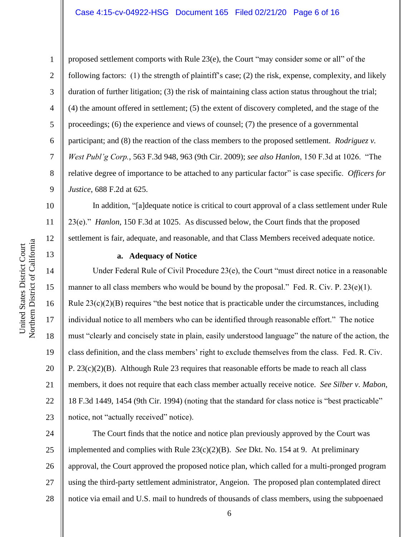#### Case 4:15-cv-04922-HSG Document 165 Filed 02/21/20 Page 6 of 16

1 2 3 4 5 6 7 8 9 proposed settlement comports with Rule 23(e), the Court "may consider some or all" of the following factors: (1) the strength of plaintiff's case; (2) the risk, expense, complexity, and likely duration of further litigation; (3) the risk of maintaining class action status throughout the trial; (4) the amount offered in settlement; (5) the extent of discovery completed, and the stage of the proceedings; (6) the experience and views of counsel; (7) the presence of a governmental participant; and (8) the reaction of the class members to the proposed settlement. *Rodriguez v. West Publ'g Corp.*, 563 F.3d 948, 963 (9th Cir. 2009); *see also Hanlon*, 150 F.3d at 1026. "The relative degree of importance to be attached to any particular factor" is case specific. *Officers for Justice*, 688 F.2d at 625.

In addition, "[a]dequate notice is critical to court approval of a class settlement under Rule 23(e)." *Hanlon*, 150 F.3d at 1025. As discussed below, the Court finds that the proposed settlement is fair, adequate, and reasonable, and that Class Members received adequate notice.

#### **a. Adequacy of Notice**

Under Federal Rule of Civil Procedure 23(e), the Court "must direct notice in a reasonable manner to all class members who would be bound by the proposal." Fed. R. Civ. P. 23(e)(1). Rule  $23(c)(2)(B)$  requires "the best notice that is practicable under the circumstances, including individual notice to all members who can be identified through reasonable effort." The notice must "clearly and concisely state in plain, easily understood language" the nature of the action, the class definition, and the class members' right to exclude themselves from the class. Fed. R. Civ. P. 23(c)(2)(B). Although Rule 23 requires that reasonable efforts be made to reach all class members, it does not require that each class member actually receive notice. *See Silber v. Mabon*, 18 F.3d 1449, 1454 (9th Cir. 1994) (noting that the standard for class notice is "best practicable" notice, not "actually received" notice).

24 25 26 27 28 The Court finds that the notice and notice plan previously approved by the Court was implemented and complies with Rule 23(c)(2)(B). *See* Dkt. No. 154 at 9. At preliminary approval, the Court approved the proposed notice plan, which called for a multi-pronged program using the third-party settlement administrator, Angeion. The proposed plan contemplated direct notice via email and U.S. mail to hundreds of thousands of class members, using the subpoenaed

17

18

19

20

21

22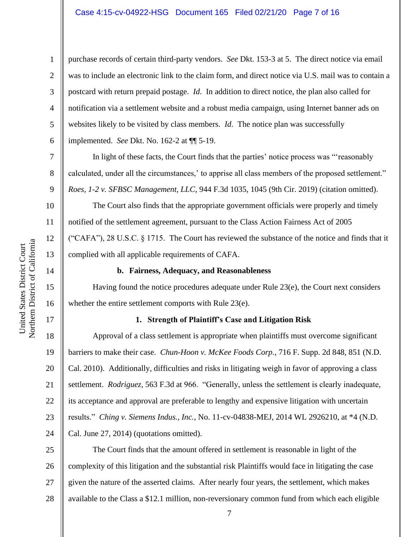purchase records of certain third-party vendors. *See* Dkt. 153-3 at 5. The direct notice via email was to include an electronic link to the claim form, and direct notice via U.S. mail was to contain a postcard with return prepaid postage. *Id*. In addition to direct notice, the plan also called for notification via a settlement website and a robust media campaign, using Internet banner ads on websites likely to be visited by class members. *Id*. The notice plan was successfully implemented. *See* Dkt. No. 162-2 at ¶¶ 5-19.

In light of these facts, the Court finds that the parties' notice process was "'reasonably calculated, under all the circumstances,' to apprise all class members of the proposed settlement." *Roes, 1-2 v. SFBSC Management, LLC*, 944 F.3d 1035, 1045 (9th Cir. 2019) (citation omitted).

The Court also finds that the appropriate government officials were properly and timely notified of the settlement agreement, pursuant to the Class Action Fairness Act of 2005 ("CAFA"), 28 U.S.C. § 1715. The Court has reviewed the substance of the notice and finds that it complied with all applicable requirements of CAFA.

#### **b. Fairness, Adequacy, and Reasonableness**

Having found the notice procedures adequate under Rule 23(e), the Court next considers whether the entire settlement comports with Rule 23(e).

#### **1. Strength of Plaintiff's Case and Litigation Risk**

18 19 20 21 22 23 24 Approval of a class settlement is appropriate when plaintiffs must overcome significant barriers to make their case. *Chun-Hoon v. McKee Foods Corp.*, 716 F. Supp. 2d 848, 851 (N.D. Cal. 2010). Additionally, difficulties and risks in litigating weigh in favor of approving a class settlement. *Rodriguez*, 563 F.3d at 966. "Generally, unless the settlement is clearly inadequate, its acceptance and approval are preferable to lengthy and expensive litigation with uncertain results." *Ching v. Siemens Indus., Inc.*, No. 11-cv-04838-MEJ, 2014 WL 2926210, at \*4 (N.D. Cal. June 27, 2014) (quotations omitted).

25 26 27 28 The Court finds that the amount offered in settlement is reasonable in light of the complexity of this litigation and the substantial risk Plaintiffs would face in litigating the case given the nature of the asserted claims. After nearly four years, the settlement, which makes available to the Class a \$12.1 million, non-reversionary common fund from which each eligible

1

2

3

4

5

6

7

8

9

10

11

12

13

14

15

16

17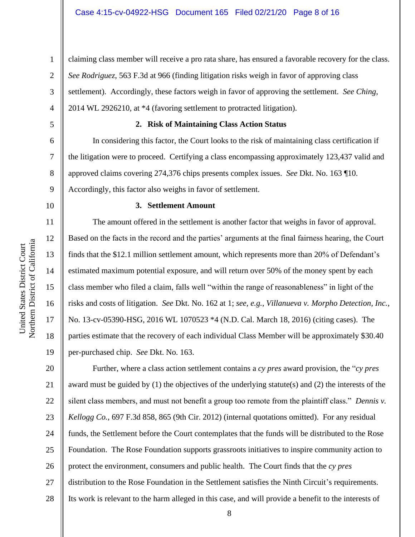1

6 7

8

9

5

#### **2. Risk of Maintaining Class Action Status**

*See Rodriguez*, 563 F.3d at 966 (finding litigation risks weigh in favor of approving class

In considering this factor, the Court looks to the risk of maintaining class certification if the litigation were to proceed. Certifying a class encompassing approximately 123,437 valid and approved claims covering 274,376 chips presents complex issues. *See* Dkt. No. 163 ¶10. Accordingly, this factor also weighs in favor of settlement.

claiming class member will receive a pro rata share, has ensured a favorable recovery for the class.

settlement). Accordingly, these factors weigh in favor of approving the settlement. *See Ching*,

#### 10

11

12

13

14

15

16

17

18

19

#### **3. Settlement Amount**

2014 WL 2926210, at \*4 (favoring settlement to protracted litigation).

The amount offered in the settlement is another factor that weighs in favor of approval. Based on the facts in the record and the parties' arguments at the final fairness hearing, the Court finds that the \$12.1 million settlement amount, which represents more than 20% of Defendant's estimated maximum potential exposure, and will return over 50% of the money spent by each class member who filed a claim, falls well "within the range of reasonableness" in light of the risks and costs of litigation. *See* Dkt. No. 162 at 1; *see, e.g.*, *Villanueva v. Morpho Detection, Inc.*, No. 13-cv-05390-HSG, 2016 WL 1070523 \*4 (N.D. Cal. March 18, 2016) (citing cases). The parties estimate that the recovery of each individual Class Member will be approximately \$30.40 per-purchased chip. *See* Dkt. No. 163.

20 21 22 23 24 25 26 27 28 Further, where a class action settlement contains a *cy pres* award provision, the "*cy pres* award must be guided by  $(1)$  the objectives of the underlying statute(s) and  $(2)$  the interests of the silent class members, and must not benefit a group too remote from the plaintiff class." *Dennis v. Kellogg Co.*, 697 F.3d 858, 865 (9th Cir. 2012) (internal quotations omitted). For any residual funds, the Settlement before the Court contemplates that the funds will be distributed to the Rose Foundation. The Rose Foundation supports grassroots initiatives to inspire community action to protect the environment, consumers and public health. The Court finds that the *cy pres* distribution to the Rose Foundation in the Settlement satisfies the Ninth Circuit's requirements. Its work is relevant to the harm alleged in this case, and will provide a benefit to the interests of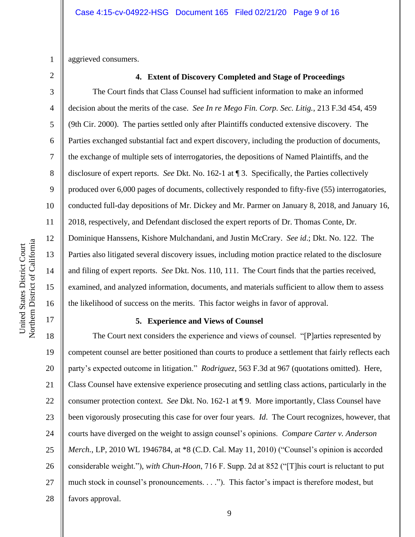1 aggrieved consumers.

2

3

4

5

6

7

8

9

10

11

12

13

14

15

16

17

#### **4. Extent of Discovery Completed and Stage of Proceedings**

The Court finds that Class Counsel had sufficient information to make an informed decision about the merits of the case. *See In re Mego Fin. Corp. Sec. Litig.*, 213 F.3d 454, 459 (9th Cir. 2000). The parties settled only after Plaintiffs conducted extensive discovery. The Parties exchanged substantial fact and expert discovery, including the production of documents, the exchange of multiple sets of interrogatories, the depositions of Named Plaintiffs, and the disclosure of expert reports. *See* Dkt. No. 162-1 at ¶ 3. Specifically, the Parties collectively produced over 6,000 pages of documents, collectively responded to fifty-five (55) interrogatories, conducted full-day depositions of Mr. Dickey and Mr. Parmer on January 8, 2018, and January 16, 2018, respectively, and Defendant disclosed the expert reports of Dr. Thomas Conte, Dr. Dominique Hanssens, Kishore Mulchandani, and Justin McCrary. *See id*.; Dkt. No. 122. The Parties also litigated several discovery issues, including motion practice related to the disclosure and filing of expert reports. *See* Dkt. Nos. 110, 111. The Court finds that the parties received, examined, and analyzed information, documents, and materials sufficient to allow them to assess the likelihood of success on the merits. This factor weighs in favor of approval.

#### **5. Experience and Views of Counsel**

18 19 20 21 22 23 24 25 26 27 28 The Court next considers the experience and views of counsel. "[P]arties represented by competent counsel are better positioned than courts to produce a settlement that fairly reflects each party's expected outcome in litigation." *Rodriguez*, 563 F.3d at 967 (quotations omitted). Here, Class Counsel have extensive experience prosecuting and settling class actions, particularly in the consumer protection context. *See* Dkt. No. 162-1 at ¶ 9. More importantly, Class Counsel have been vigorously prosecuting this case for over four years. *Id*. The Court recognizes, however, that courts have diverged on the weight to assign counsel's opinions. *Compare Carter v. Anderson Merch.*, LP, 2010 WL 1946784, at \*8 (C.D. Cal. May 11, 2010) ("Counsel's opinion is accorded considerable weight."), *with Chun-Hoon*, 716 F. Supp. 2d at 852 ("[T]his court is reluctant to put much stock in counsel's pronouncements. . . ."). This factor's impact is therefore modest, but favors approval.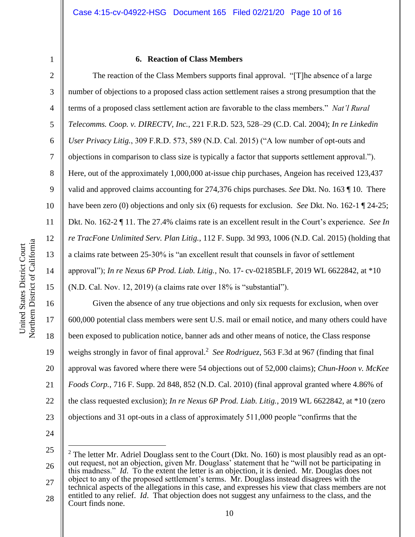3

4

5

6

7

8

9

10

11

12

13

14

15

16

17

18

19

20

21

22

#### **6. Reaction of Class Members**

The reaction of the Class Members supports final approval. "[T]he absence of a large number of objections to a proposed class action settlement raises a strong presumption that the terms of a proposed class settlement action are favorable to the class members." *Nat'l Rural Telecomms. Coop. v. DIRECTV, Inc.*, 221 F.R.D. 523, 528–29 (C.D. Cal. 2004); *In re Linkedin User Privacy Litig.*, 309 F.R.D. 573, 589 (N.D. Cal. 2015) ("A low number of opt-outs and objections in comparison to class size is typically a factor that supports settlement approval."). Here, out of the approximately 1,000,000 at-issue chip purchases, Angeion has received 123,437 valid and approved claims accounting for 274,376 chips purchases. *See* Dkt. No. 163 ¶ 10. There have been zero (0) objections and only six (6) requests for exclusion. *See* Dkt. No. 162-1 ¶ 24-25; Dkt. No. 162-2 ¶ 11. The 27.4% claims rate is an excellent result in the Court's experience. *See In re TracFone Unlimited Serv. Plan Litig.*, 112 F. Supp. 3d 993, 1006 (N.D. Cal. 2015) (holding that a claims rate between 25-30% is "an excellent result that counsels in favor of settlement approval"); *In re Nexus 6P Prod. Liab. Litig.*, No. 17- cv-02185BLF, 2019 WL 6622842, at \*10 (N.D. Cal. Nov. 12, 2019) (a claims rate over 18% is "substantial").

Given the absence of any true objections and only six requests for exclusion, when over 600,000 potential class members were sent U.S. mail or email notice, and many others could have been exposed to publication notice, banner ads and other means of notice, the Class response weighs strongly in favor of final approval.<sup>2</sup> See Rodriguez, 563 F.3d at 967 (finding that final approval was favored where there were 54 objections out of 52,000 claims); *Chun-Hoon v. McKee Foods Corp.*, 716 F. Supp. 2d 848, 852 (N.D. Cal. 2010) (final approval granted where 4.86% of the class requested exclusion); *In re Nexus 6P Prod. Liab. Litig.*, 2019 WL 6622842, at \*10 (zero objections and 31 opt-outs in a class of approximately 511,000 people "confirms that the

24

23

25 26 27 28  $2$  The letter Mr. Adriel Douglass sent to the Court (Dkt. No. 160) is most plausibly read as an optout request, not an objection, given Mr. Douglass' statement that he "will not be participating in this madness." *Id*. To the extent the letter is an objection, it is denied. Mr. Douglas does not object to any of the proposed settlement's terms. Mr. Douglass instead disagrees with the technical aspects of the allegations in this case, and expresses his view that class members are not entitled to any relief. *Id*. That objection does not suggest any unfairness to the class, and the Court finds none.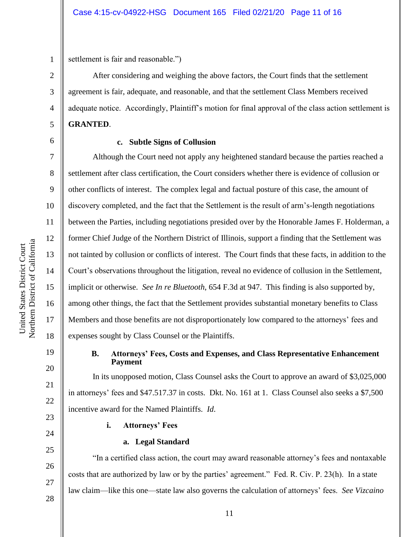settlement is fair and reasonable.")

After considering and weighing the above factors, the Court finds that the settlement agreement is fair, adequate, and reasonable, and that the settlement Class Members received adequate notice. Accordingly, Plaintiff's motion for final approval of the class action settlement is **GRANTED**.

1

2

3

4

5

6

7

8

9

10

11

12

13

14

15

16

17

18

19

20

21

22

23

24

25

26

27

28

#### **c. Subtle Signs of Collusion**

Although the Court need not apply any heightened standard because the parties reached a settlement after class certification, the Court considers whether there is evidence of collusion or other conflicts of interest. The complex legal and factual posture of this case, the amount of discovery completed, and the fact that the Settlement is the result of arm's-length negotiations between the Parties, including negotiations presided over by the Honorable James F. Holderman, a former Chief Judge of the Northern District of Illinois, support a finding that the Settlement was not tainted by collusion or conflicts of interest. The Court finds that these facts, in addition to the Court's observations throughout the litigation, reveal no evidence of collusion in the Settlement, implicit or otherwise. *See In re Bluetooth*, 654 F.3d at 947. This finding is also supported by, among other things, the fact that the Settlement provides substantial monetary benefits to Class Members and those benefits are not disproportionately low compared to the attorneys' fees and expenses sought by Class Counsel or the Plaintiffs.

#### **B. Attorneys' Fees, Costs and Expenses, and Class Representative Enhancement Payment**

In its unopposed motion, Class Counsel asks the Court to approve an award of \$3,025,000 in attorneys' fees and \$47.517.37 in costs. Dkt. No. 161 at 1. Class Counsel also seeks a \$7,500 incentive award for the Named Plaintiffs. *Id*.

**i. Attorneys' Fees**

### **a. Legal Standard**

"In a certified class action, the court may award reasonable attorney's fees and nontaxable costs that are authorized by law or by the parties' agreement." Fed. R. Civ. P. 23(h). In a state law claim—like this one—state law also governs the calculation of attorneys' fees. *See Vizcaino*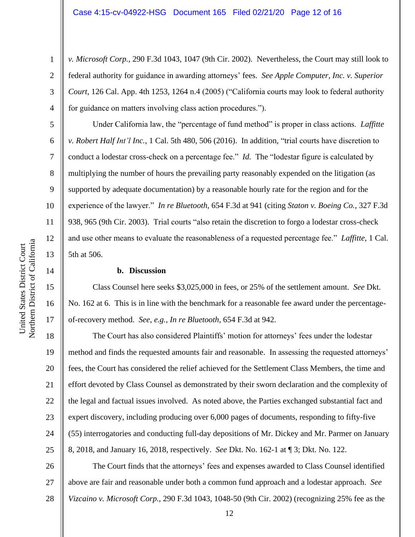*v. Microsoft Corp.*, 290 F.3d 1043, 1047 (9th Cir. 2002). Nevertheless, the Court may still look to federal authority for guidance in awarding attorneys' fees. *See Apple Computer, Inc. v. Superior Court*, 126 Cal. App. 4th 1253, 1264 n.4 (2005) ("California courts may look to federal authority for guidance on matters involving class action procedures.").

Under California law, the "percentage of fund method" is proper in class actions. *Laffitte v. Robert Half Int'l Inc.*, 1 Cal. 5th 480, 506 (2016). In addition, "trial courts have discretion to conduct a lodestar cross-check on a percentage fee." *Id.* The "lodestar figure is calculated by multiplying the number of hours the prevailing party reasonably expended on the litigation (as supported by adequate documentation) by a reasonable hourly rate for the region and for the experience of the lawyer." *In re Bluetooth*, 654 F.3d at 941 (citing *Staton v. Boeing Co.*, 327 F.3d 938, 965 (9th Cir. 2003). Trial courts "also retain the discretion to forgo a lodestar cross-check and use other means to evaluate the reasonableness of a requested percentage fee." *Laffitte*, 1 Cal. 5th at 506.

#### **b. Discussion**

Class Counsel here seeks \$3,025,000 in fees, or 25% of the settlement amount. *See* Dkt. No. 162 at 6. This is in line with the benchmark for a reasonable fee award under the percentageof-recovery method. *See*, *e.g.*, *In re Bluetooth*, 654 F.3d at 942.

18 19 20 21 22 23 24 25 The Court has also considered Plaintiffs' motion for attorneys' fees under the lodestar method and finds the requested amounts fair and reasonable. In assessing the requested attorneys' fees, the Court has considered the relief achieved for the Settlement Class Members, the time and effort devoted by Class Counsel as demonstrated by their sworn declaration and the complexity of the legal and factual issues involved. As noted above, the Parties exchanged substantial fact and expert discovery, including producing over 6,000 pages of documents, responding to fifty-five (55) interrogatories and conducting full-day depositions of Mr. Dickey and Mr. Parmer on January 8, 2018, and January 16, 2018, respectively. *See* Dkt. No. 162-1 at ¶ 3; Dkt. No. 122.

26 27 28 The Court finds that the attorneys' fees and expenses awarded to Class Counsel identified above are fair and reasonable under both a common fund approach and a lodestar approach. *See Vizcaino v. Microsoft Corp.*, 290 F.3d 1043, 1048-50 (9th Cir. 2002) (recognizing 25% fee as the

1

2

3

4

5

6

7

8

9

10

11

12

13

14

15

16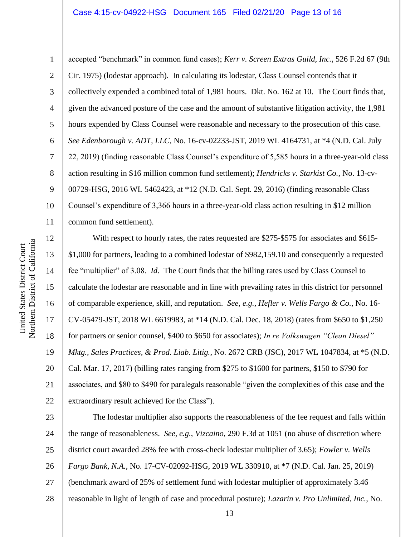13

14

15

16

17

18

19

20

21

22

1 2 3 4 5 6 7 8 9 10 11 accepted "benchmark" in common fund cases); *Kerr v. Screen Extras Guild, Inc.*, 526 F.2d 67 (9th Cir. 1975) (lodestar approach). In calculating its lodestar, Class Counsel contends that it collectively expended a combined total of 1,981 hours. Dkt. No. 162 at 10. The Court finds that, given the advanced posture of the case and the amount of substantive litigation activity, the 1,981 hours expended by Class Counsel were reasonable and necessary to the prosecution of this case. *See Edenborough v. ADT, LLC*, No. 16-cv-02233-JST, 2019 WL 4164731, at \*4 (N.D. Cal. July 22, 2019) (finding reasonable Class Counsel's expenditure of 5,585 hours in a three-year-old class action resulting in \$16 million common fund settlement); *Hendricks v. Starkist Co.*, No. 13-cv-00729-HSG, 2016 WL 5462423, at \*12 (N.D. Cal. Sept. 29, 2016) (finding reasonable Class Counsel's expenditure of 3,366 hours in a three-year-old class action resulting in \$12 million common fund settlement).

With respect to hourly rates, the rates requested are \$275-\$575 for associates and \$615- \$1,000 for partners, leading to a combined lodestar of \$982,159.10 and consequently a requested fee "multiplier" of 3.08. *Id*. The Court finds that the billing rates used by Class Counsel to calculate the lodestar are reasonable and in line with prevailing rates in this district for personnel of comparable experience, skill, and reputation. *See, e.g.*, *Hefler v. Wells Fargo & Co.*, No. 16- CV-05479-JST, 2018 WL 6619983, at \*14 (N.D. Cal. Dec. 18, 2018) (rates from \$650 to \$1,250 for partners or senior counsel, \$400 to \$650 for associates); *In re Volkswagen "Clean Diesel" Mktg., Sales Practices, & Prod. Liab. Litig.*, No. 2672 CRB (JSC), 2017 WL 1047834, at \*5 (N.D. Cal. Mar. 17, 2017) (billing rates ranging from \$275 to \$1600 for partners, \$150 to \$790 for associates, and \$80 to \$490 for paralegals reasonable "given the complexities of this case and the extraordinary result achieved for the Class").

23 24 25 26 27 28 The lodestar multiplier also supports the reasonableness of the fee request and falls within the range of reasonableness. *See, e.g.*, *Vizcaino*, 290 F.3d at 1051 (no abuse of discretion where district court awarded 28% fee with cross-check lodestar multiplier of 3.65); *Fowler v. Wells Fargo Bank, N.A.*, No. 17-CV-02092-HSG, 2019 WL 330910, at \*7 (N.D. Cal. Jan. 25, 2019) (benchmark award of 25% of settlement fund with lodestar multiplier of approximately 3.46 reasonable in light of length of case and procedural posture); *Lazarin v. Pro Unlimited, Inc.*, No.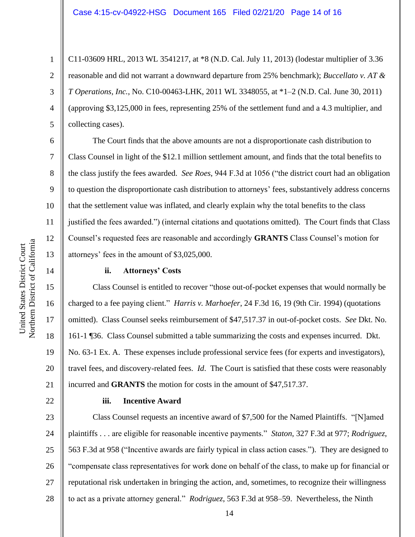C11-03609 HRL, 2013 WL 3541217, at \*8 (N.D. Cal. July 11, 2013) (lodestar multiplier of 3.36 reasonable and did not warrant a downward departure from 25% benchmark); *Buccellato v. AT & T Operations, Inc.*, No. C10-00463-LHK, 2011 WL 3348055, at \*1–2 (N.D. Cal. June 30, 2011) (approving \$3,125,000 in fees, representing 25% of the settlement fund and a 4.3 multiplier, and collecting cases).

The Court finds that the above amounts are not a disproportionate cash distribution to Class Counsel in light of the \$12.1 million settlement amount, and finds that the total benefits to the class justify the fees awarded. *See Roes*, 944 F.3d at 1056 ("the district court had an obligation to question the disproportionate cash distribution to attorneys' fees, substantively address concerns that the settlement value was inflated, and clearly explain why the total benefits to the class justified the fees awarded.") (internal citations and quotations omitted). The Court finds that Class Counsel's requested fees are reasonable and accordingly **GRANTS** Class Counsel's motion for attorneys' fees in the amount of \$3,025,000.

#### **ii. Attorneys' Costs**

Class Counsel is entitled to recover "those out-of-pocket expenses that would normally be charged to a fee paying client." *Harris v. Marhoefer*, 24 F.3d 16, 19 (9th Cir. 1994) (quotations omitted). Class Counsel seeks reimbursement of \$47,517.37 in out-of-pocket costs. *See* Dkt. No. 161-1 ¶36. Class Counsel submitted a table summarizing the costs and expenses incurred. Dkt. No. 63-1 Ex. A. These expenses include professional service fees (for experts and investigators), travel fees, and discovery-related fees. *Id*. The Court is satisfied that these costs were reasonably incurred and **GRANTS** the motion for costs in the amount of \$47,517.37.

#### **iii. Incentive Award**

23 24 25 26 27 28 Class Counsel requests an incentive award of \$7,500 for the Named Plaintiffs. "[N]amed plaintiffs . . . are eligible for reasonable incentive payments." *Staton*, 327 F.3d at 977; *Rodriguez*, 563 F.3d at 958 ("Incentive awards are fairly typical in class action cases."). They are designed to "compensate class representatives for work done on behalf of the class, to make up for financial or reputational risk undertaken in bringing the action, and, sometimes, to recognize their willingness to act as a private attorney general." *Rodriguez*, 563 F.3d at 958–59. Nevertheless, the Ninth

1

2

3

4

5

6

7

8

9

10

11

12

13

14

15

16

17

18

19

20

21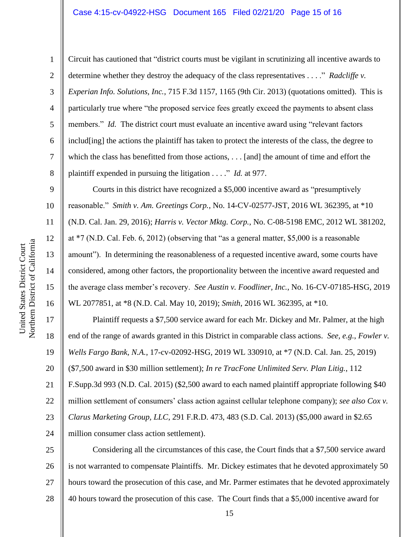Circuit has cautioned that "district courts must be vigilant in scrutinizing all incentive awards to determine whether they destroy the adequacy of the class representatives . . . ." *Radcliffe v. Experian Info. Solutions, Inc.*, 715 F.3d 1157, 1165 (9th Cir. 2013) (quotations omitted). This is particularly true where "the proposed service fees greatly exceed the payments to absent class members." *Id.* The district court must evaluate an incentive award using "relevant factors" includ[ing] the actions the plaintiff has taken to protect the interests of the class, the degree to which the class has benefitted from those actions, . . . [and] the amount of time and effort the plaintiff expended in pursuing the litigation . . . ." *Id.* at 977.

Courts in this district have recognized a \$5,000 incentive award as "presumptively reasonable." *Smith v. Am. Greetings Corp.*, No. 14-CV-02577-JST, 2016 WL 362395, at \*10 (N.D. Cal. Jan. 29, 2016); *Harris v. Vector Mktg. Corp.*, No. C-08-5198 EMC, 2012 WL 381202, at \*7 (N.D. Cal. Feb. 6, 2012) (observing that "as a general matter, \$5,000 is a reasonable amount"). In determining the reasonableness of a requested incentive award, some courts have considered, among other factors, the proportionality between the incentive award requested and the average class member's recovery. *See Austin v. Foodliner, Inc.*, No. 16-CV-07185-HSG, 2019 WL 2077851, at \*8 (N.D. Cal. May 10, 2019); *Smith*, 2016 WL 362395, at \*10.

Plaintiff requests a \$7,500 service award for each Mr. Dickey and Mr. Palmer, at the high end of the range of awards granted in this District in comparable class actions. *See, e.g.*, *Fowler v. Wells Fargo Bank, N.A.*, 17-cv-02092-HSG, 2019 WL 330910, at \*7 (N.D. Cal. Jan. 25, 2019) (\$7,500 award in \$30 million settlement); *In re TracFone Unlimited Serv. Plan Litig.*, 112 F.Supp.3d 993 (N.D. Cal. 2015) (\$2,500 award to each named plaintiff appropriate following \$40 million settlement of consumers' class action against cellular telephone company); *see also Cox v. Clarus Marketing Group, LLC*, 291 F.R.D. 473, 483 (S.D. Cal. 2013) (\$5,000 award in \$2.65 million consumer class action settlement).

25 26 27 28 Considering all the circumstances of this case, the Court finds that a \$7,500 service award is not warranted to compensate Plaintiffs. Mr. Dickey estimates that he devoted approximately 50 hours toward the prosecution of this case, and Mr. Parmer estimates that he devoted approximately 40 hours toward the prosecution of this case. The Court finds that a \$5,000 incentive award for

1

2

3

4

5

6

7

8

9

10

11

12

13

14

15

16

17

18

19

20

21

22

23